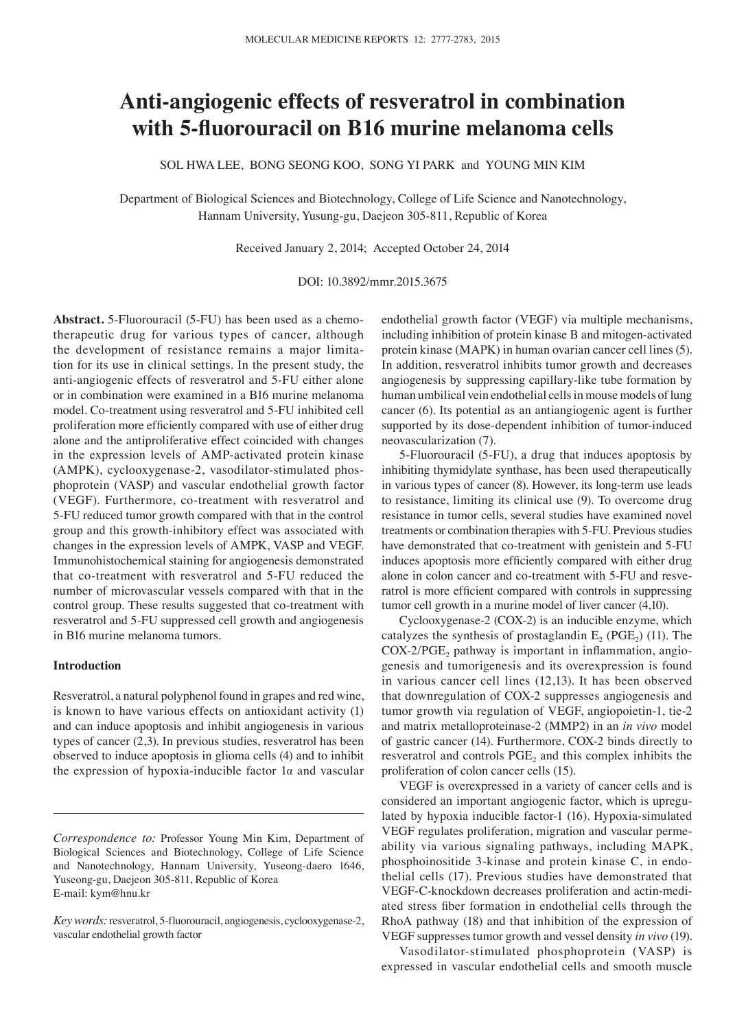# **Anti‑angiogenic effects of resveratrol in combination with 5‑fluorouracil on B16 murine melanoma cells**

SOL HWA LEE, BONG SEONG KOO, SONG YI PARK and YOUNG MIN KIM

Department of Biological Sciences and Biotechnology, College of Life Science and Nanotechnology, Hannam University, Yusung-gu, Daejeon 305-811, Republic of Korea

Received January 2, 2014; Accepted October 24, 2014

DOI: 10.3892/mmr.2015.3675

**Abstract.** 5-Fluorouracil (5-FU) has been used as a chemotherapeutic drug for various types of cancer, although the development of resistance remains a major limitation for its use in clinical settings. In the present study, the anti-angiogenic effects of resveratrol and 5-FU either alone or in combination were examined in a B16 murine melanoma model. Co-treatment using resveratrol and 5-FU inhibited cell proliferation more efficiently compared with use of either drug alone and the antiproliferative effect coincided with changes in the expression levels of AMP-activated protein kinase (AMPK), cyclooxygenase-2, vasodilator-stimulated phosphoprotein (VASP) and vascular endothelial growth factor (VEGF). Furthermore, co-treatment with resveratrol and 5-FU reduced tumor growth compared with that in the control group and this growth-inhibitory effect was associated with changes in the expression levels of AMPK, VASP and VEGF. Immunohistochemical staining for angiogenesis demonstrated that co-treatment with resveratrol and 5-FU reduced the number of microvascular vessels compared with that in the control group. These results suggested that co-treatment with resveratrol and 5-FU suppressed cell growth and angiogenesis in B16 murine melanoma tumors.

## **Introduction**

Resveratrol, a natural polyphenol found in grapes and red wine, is known to have various effects on antioxidant activity (1) and can induce apoptosis and inhibit angiogenesis in various types of cancer (2,3). In previous studies, resveratrol has been observed to induce apoptosis in glioma cells (4) and to inhibit the expression of hypoxia-inducible factor 1α and vascular endothelial growth factor (VEGF) via multiple mechanisms, including inhibition of protein kinase B and mitogen-activated protein kinase (MAPK) in human ovarian cancer cell lines (5). In addition, resveratrol inhibits tumor growth and decreases angiogenesis by suppressing capillary-like tube formation by human umbilical vein endothelial cells in mouse models of lung cancer (6). Its potential as an antiangiogenic agent is further supported by its dose-dependent inhibition of tumor-induced neovascularization (7).

5-Fluorouracil (5-FU), a drug that induces apoptosis by inhibiting thymidylate synthase, has been used therapeutically in various types of cancer (8). However, its long-term use leads to resistance, limiting its clinical use (9). To overcome drug resistance in tumor cells, several studies have examined novel treatments or combination therapies with 5-FU. Previous studies have demonstrated that co-treatment with genistein and 5-FU induces apoptosis more efficiently compared with either drug alone in colon cancer and co-treatment with 5-FU and resveratrol is more efficient compared with controls in suppressing tumor cell growth in a murine model of liver cancer (4,10).

Cyclooxygenase-2 (COX-2) is an inducible enzyme, which catalyzes the synthesis of prostaglandin  $E_2$  (PGE<sub>2</sub>) (11). The  $COX-2/PGE<sub>2</sub>$  pathway is important in inflammation, angiogenesis and tumorigenesis and its overexpression is found in various cancer cell lines (12,13). It has been observed that downregulation of COX-2 suppresses angiogenesis and tumor growth via regulation of VEGF, angiopoietin-1, tie-2 and matrix metalloproteinase-2 (MMP2) in an *in vivo* model of gastric cancer (14). Furthermore, COX-2 binds directly to resveratrol and controls  $PGE_2$  and this complex inhibits the proliferation of colon cancer cells (15).

VEGF is overexpressed in a variety of cancer cells and is considered an important angiogenic factor, which is upregulated by hypoxia inducible factor-1 (16). Hypoxia-simulated VEGF regulates proliferation, migration and vascular permeability via various signaling pathways, including MAPK, phosphoinositide 3-kinase and protein kinase C, in endothelial cells (17). Previous studies have demonstrated that VEGF-C-knockdown decreases proliferation and actin-mediated stress fiber formation in endothelial cells through the RhoA pathway (18) and that inhibition of the expression of VEGF suppresses tumor growth and vessel density *in vivo* (19).

Vasodilator-stimulated phosphoprotein (VASP) is expressed in vascular endothelial cells and smooth muscle

*Correspondence to:* Professor Young Min Kim, Department of Biological Sciences and Biotechnology, College of Life Science and Nanotechnology, Hannam University, Yuseong-daero 1646, Yuseong-gu, Daejeon 305-811, Republic of Korea E-mail: kym@hnu.kr

*Key words:* resveratrol, 5-fluorouracil, angiogenesis, cyclooxygenase-2, vascular endothelial growth factor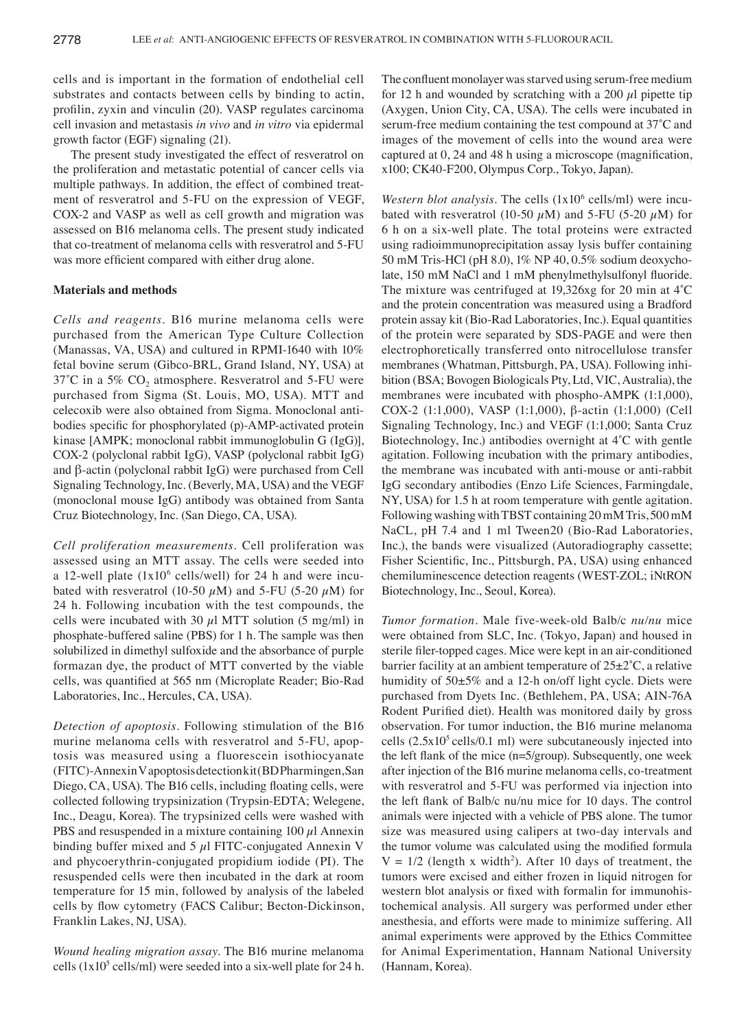cells and is important in the formation of endothelial cell substrates and contacts between cells by binding to actin, profilin, zyxin and vinculin (20). VASP regulates carcinoma cell invasion and metastasis *in vivo* and *in vitro* via epidermal growth factor (EGF) signaling (21).

The present study investigated the effect of resveratrol on the proliferation and metastatic potential of cancer cells via multiple pathways. In addition, the effect of combined treatment of resveratrol and 5-FU on the expression of VEGF, COX-2 and VASP as well as cell growth and migration was assessed on B16 melanoma cells. The present study indicated that co-treatment of melanoma cells with resveratrol and 5-FU was more efficient compared with either drug alone.

## **Materials and methods**

*Cells and reagents.* B16 murine melanoma cells were purchased from the American Type Culture Collection (Manassas, VA, USA) and cultured in RPMI-1640 with 10% fetal bovine serum (Gibco-BRL, Grand Island, NY, USA) at  $37^{\circ}$ C in a 5% CO<sub>2</sub> atmosphere. Resveratrol and 5-FU were purchased from Sigma (St. Louis, MO, USA). MTT and celecoxib were also obtained from Sigma. Monoclonal antibodies specific for phosphorylated (p)-AMP-activated protein kinase [AMPK; monoclonal rabbit immunoglobulin G (IgG)], COX-2 (polyclonal rabbit IgG), VASP (polyclonal rabbit IgG) and β‑actin (polyclonal rabbit IgG) were purchased from Cell Signaling Technology, Inc. (Beverly, MA, USA) and the VEGF (monoclonal mouse IgG) antibody was obtained from Santa Cruz Biotechnology, Inc. (San Diego, CA, USA).

*Cell proliferation measurements.* Cell proliferation was assessed using an MTT assay. The cells were seeded into a 12-well plate  $(1x10^6 \text{ cells/well})$  for 24 h and were incubated with resveratrol (10-50  $\mu$ M) and 5-FU (5-20  $\mu$ M) for 24 h. Following incubation with the test compounds, the cells were incubated with 30  $\mu$ l MTT solution (5 mg/ml) in phosphate-buffered saline (PBS) for 1 h. The sample was then solubilized in dimethyl sulfoxide and the absorbance of purple formazan dye, the product of MTT converted by the viable cells, was quantified at 565 nm (Microplate Reader; Bio-Rad Laboratories, Inc., Hercules, CA, USA).

*Detection of apoptosis.* Following stimulation of the B16 murine melanoma cells with resveratrol and 5-FU, apoptosis was measured using a fluorescein isothiocyanate (FITC)-AnnexinV apoptosis detection kit (BD Pharmingen, San Diego, CA, USA). The B16 cells, including floating cells, were collected following trypsinization (Trypsin-EDTA; Welegene, Inc., Deagu, Korea). The trypsinized cells were washed with PBS and resuspended in a mixture containing  $100 \mu l$  Annexin binding buffer mixed and  $5 \mu$ l FITC-conjugated Annexin V and phycoerythrin-conjugated propidium iodide (PI). The resuspended cells were then incubated in the dark at room temperature for 15 min, followed by analysis of the labeled cells by flow cytometry (FACS Calibur; Becton‑Dickinson, Franklin Lakes, NJ, USA).

*Wound healing migration assay.* The B16 murine melanoma cells  $(1x10<sup>5</sup>$  cells/ml) were seeded into a six-well plate for 24 h. The confluent monolayer was starved using serum‑free medium for 12 h and wounded by scratching with a 200  $\mu$ l pipette tip (Axygen, Union City, CA, USA). The cells were incubated in serum‑free medium containing the test compound at 37˚C and images of the movement of cells into the wound area were captured at 0, 24 and 48 h using a microscope (magnification, x100; CK40-F200, Olympus Corp., Tokyo, Japan).

*Western blot analysis.* The cells (1x10<sup>6</sup> cells/ml) were incubated with resveratrol (10-50  $\mu$ M) and 5-FU (5-20  $\mu$ M) for 6 h on a six-well plate. The total proteins were extracted using radioimmunoprecipitation assay lysis buffer containing 50 mM Tris-HCl (pH 8.0), 1% NP 40, 0.5% sodium deoxycholate, 150 mM NaCl and 1 mM phenylmethylsulfonyl fluoride. The mixture was centrifuged at 19,326xg for 20 min at 4˚C and the protein concentration was measured using a Bradford protein assay kit (Bio-Rad Laboratories, Inc.). Equal quantities of the protein were separated by SDS-PAGE and were then electrophoretically transferred onto nitrocellulose transfer membranes (Whatman, Pittsburgh, PA, USA). Following inhibition (BSA; Bovogen Biologicals Pty, Ltd, VIC, Australia), the membranes were incubated with phospho-AMPK (1:1,000), COX-2 (1:1,000), VASP (1:1,000), β-actin (1:1,000) (Cell Signaling Technology, Inc.) and VEGF (1:1,000; Santa Cruz Biotechnology, Inc.) antibodies overnight at 4˚C with gentle agitation. Following incubation with the primary antibodies, the membrane was incubated with anti-mouse or anti-rabbit IgG secondary antibodies (Enzo Life Sciences, Farmingdale, NY, USA) for 1.5 h at room temperature with gentle agitation. Following washing with TBST containing 20mM Tris, 500mM NaCL, pH 7.4 and 1 ml Tween20 (Bio-Rad Laboratories, Inc.), the bands were visualized (Autoradiography cassette; Fisher Scientific, Inc., Pittsburgh, PA, USA) using enhanced chemiluminescence detection reagents (WEST-ZOL; iNtRON Biotechnology, Inc., Seoul, Korea).

*Tumor formation.* Male five-week-old Balb/c *nu/nu* mice were obtained from SLC, Inc. (Tokyo, Japan) and housed in sterile filer‑topped cages. Mice were kept in an air-conditioned barrier facility at an ambient temperature of  $25\pm2^{\circ}$ C, a relative humidity of 50±5% and a 12-h on/off light cycle. Diets were purchased from Dyets Inc. (Bethlehem, PA, USA; AIN-76A Rodent Purified diet). Health was monitored daily by gross observation. For tumor induction, the B16 murine melanoma cells  $(2.5x10<sup>5</sup>$  cells/0.1 ml) were subcutaneously injected into the left flank of the mice (n=5/group). Subsequently, one week after injection of the B16 murine melanoma cells, co-treatment with resveratrol and 5-FU was performed via injection into the left flank of Balb/c nu/nu mice for 10 days. The control animals were injected with a vehicle of PBS alone. The tumor size was measured using calipers at two-day intervals and the tumor volume was calculated using the modified formula  $V = 1/2$  (length x width<sup>2</sup>). After 10 days of treatment, the tumors were excised and either frozen in liquid nitrogen for western blot analysis or fixed with formalin for immunohistochemical analysis. All surgery was performed under ether anesthesia, and efforts were made to minimize suffering. All animal experiments were approved by the Ethics Committee for Animal Experimentation, Hannam National University (Hannam, Korea).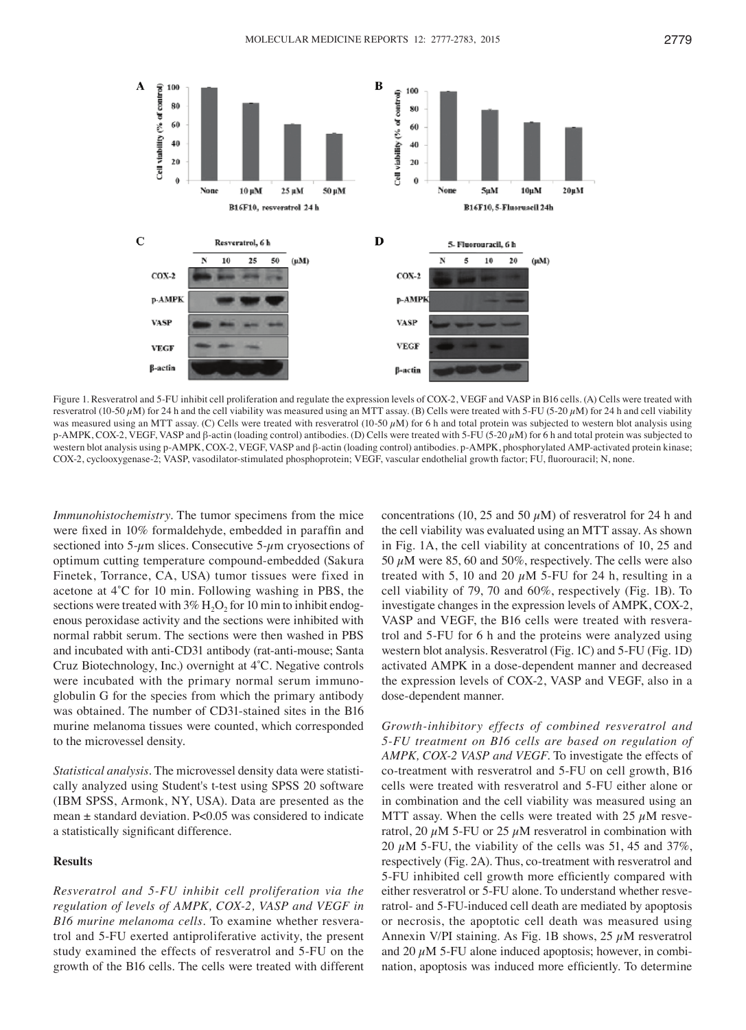

Figure 1. Resveratrol and 5-FU inhibit cell proliferation and regulate the expression levels of COX-2, VEGF and VASP in B16 cells. (A) Cells were treated with resveratrol (10-50  $\mu$ M) for 24 h and the cell viability was measured using an MTT assay. (B) Cells were treated with 5-FU (5-20  $\mu$ M) for 24 h and cell viability was measured using an MTT assay. (C) Cells were treated with resveratrol (10-50  $\mu$ M) for 6 h and total protein was subjected to western blot analysis using p-AMPK, COX-2, VEGF, VASP and β-actin (loading control) antibodies. (D) Cells were treated with 5-FU (5-20 µM) for 6 h and total protein was subjected to western blot analysis using p-AMPK, COX-2, VEGF, VASP and β-actin (loading control) antibodies. p-AMPK, phosphorylated AMP-activated protein kinase; COX‑2, cyclooxygenase‑2; VASP, vasodilator‑stimulated phosphoprotein; VEGF, vascular endothelial growth factor; FU, fluorouracil; N, none.

*Immunohistochemistry.* The tumor specimens from the mice were fixed in 10% formaldehyde, embedded in paraffin and sectioned into  $5-\mu$ m slices. Consecutive  $5-\mu$ m cryosections of optimum cutting temperature compound-embedded (Sakura Finetek, Torrance, CA, USA) tumor tissues were fixed in acetone at 4˚C for 10 min. Following washing in PBS, the sections were treated with  $3\%$  H<sub>2</sub>O<sub>2</sub> for 10 min to inhibit endogenous peroxidase activity and the sections were inhibited with normal rabbit serum. The sections were then washed in PBS and incubated with anti-CD31 antibody (rat-anti-mouse; Santa Cruz Biotechnology, Inc.) overnight at 4˚C. Negative controls were incubated with the primary normal serum immunoglobulin G for the species from which the primary antibody was obtained. The number of CD31-stained sites in the B16 murine melanoma tissues were counted, which corresponded to the microvessel density.

*Statistical analysis.* The microvessel density data were statistically analyzed using Student's t-test using SPSS 20 software (IBM SPSS, Armonk, NY, USA). Data are presented as the mean  $\pm$  standard deviation. P<0.05 was considered to indicate a statistically significant difference.

## **Results**

*Resveratrol and 5‑FU inhibit cell proliferation via the regulation of levels of AMPK, COX‑2, VASP and VEGF in B16 murine melanoma cells.* To examine whether resveratrol and 5-FU exerted antiproliferative activity, the present study examined the effects of resveratrol and 5-FU on the growth of the B16 cells. The cells were treated with different concentrations (10, 25 and 50  $\mu$ M) of resveratrol for 24 h and the cell viability was evaluated using an MTT assay. As shown in Fig. 1A, the cell viability at concentrations of 10, 25 and 50  $\mu$ M were 85, 60 and 50%, respectively. The cells were also treated with 5, 10 and 20  $\mu$ M 5-FU for 24 h, resulting in a cell viability of 79, 70 and 60%, respectively (Fig. 1B). To investigate changes in the expression levels of AMPK, COX-2, VASP and VEGF, the B16 cells were treated with resveratrol and 5-FU for 6 h and the proteins were analyzed using western blot analysis. Resveratrol (Fig. 1C) and 5-FU (Fig. 1D) activated AMPK in a dose-dependent manner and decreased the expression levels of COX-2, VASP and VEGF, also in a dose-dependent manner.

*Growth‑inhibitory effects of combined resveratrol and 5‑FU treatment on B16 cells are based on regulation of AMPK, COX‑2 VASP and VEGF.* To investigate the effects of co-treatment with resveratrol and 5-FU on cell growth, B16 cells were treated with resveratrol and 5-FU either alone or in combination and the cell viability was measured using an MTT assay. When the cells were treated with 25  $\mu$ M resveratrol, 20  $\mu$ M 5-FU or 25  $\mu$ M resveratrol in combination with 20  $\mu$ M 5-FU, the viability of the cells was 51, 45 and 37%, respectively (Fig. 2A). Thus, co-treatment with resveratrol and 5‑FU inhibited cell growth more efficiently compared with either resveratrol or 5-FU alone. To understand whether resveratrol- and 5-FU-induced cell death are mediated by apoptosis or necrosis, the apoptotic cell death was measured using Annexin V/PI staining. As Fig. 1B shows,  $25 \mu M$  resveratrol and 20  $\mu$ M 5-FU alone induced apoptosis; however, in combination, apoptosis was induced more efficiently. To determine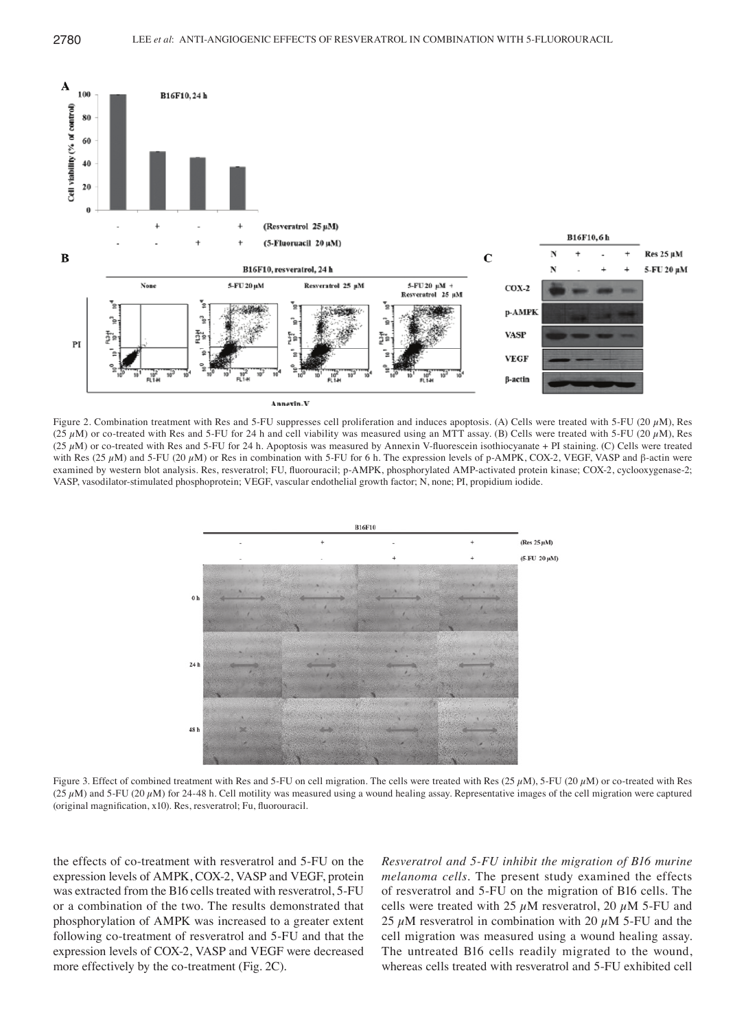

Figure 2. Combination treatment with Res and 5-FU suppresses cell proliferation and induces apoptosis. (A) Cells were treated with 5-FU (20  $\mu$ M), Res (25  $\mu$ M) or co-treated with Res and 5-FU for 24 h and cell viability was measured using an MTT assay. (B) Cells were treated with 5-FU (20  $\mu$ M), Res (25  $\mu$ M) or co-treated with Res and 5-FU for 24 h. Apoptosis was measured by Annexin V-fluorescein isothiocyanate + PI staining. (C) Cells were treated with Res (25  $\mu$ M) and 5-FU (20  $\mu$ M) or Res in combination with 5-FU for 6 h. The expression levels of p-AMPK, COX-2, VEGF, VASP and β-actin were examined by western blot analysis. Res, resveratrol; FU, fluorouracil; p-AMPK, phosphorylated AMP-activated protein kinase; COX-2, cyclooxygenase-2; VASP, vasodilator-stimulated phosphoprotein; VEGF, vascular endothelial growth factor; N, none; PI, propidium iodide.



Figure 3. Effect of combined treatment with Res and 5-FU on cell migration. The cells were treated with Res  $(25 \mu M)$ , 5-FU  $(20 \mu M)$  or co-treated with Res ( $25 \mu$ M) and 5-FU ( $20 \mu$ M) for 24-48 h. Cell motility was measured using a wound healing assay. Representative images of the cell migration were captured (original magnification, x10). Res, resveratrol; Fu, fluorouracil.

the effects of co-treatment with resveratrol and 5-FU on the expression levels of AMPK, COX-2, VASP and VEGF, protein was extracted from the B16 cells treated with resveratrol, 5-FU or a combination of the two. The results demonstrated that phosphorylation of AMPK was increased to a greater extent following co-treatment of resveratrol and 5-FU and that the expression levels of COX-2, VASP and VEGF were decreased more effectively by the co-treatment (Fig. 2C).

*Resveratrol and 5‑FU inhibit the migration of B16 murine melanoma cells.* The present study examined the effects of resveratrol and 5-FU on the migration of B16 cells. The cells were treated with 25  $\mu$ M resveratrol, 20  $\mu$ M 5-FU and 25  $\mu$ M resveratrol in combination with 20  $\mu$ M 5-FU and the cell migration was measured using a wound healing assay. The untreated B16 cells readily migrated to the wound, whereas cells treated with resveratrol and 5-FU exhibited cell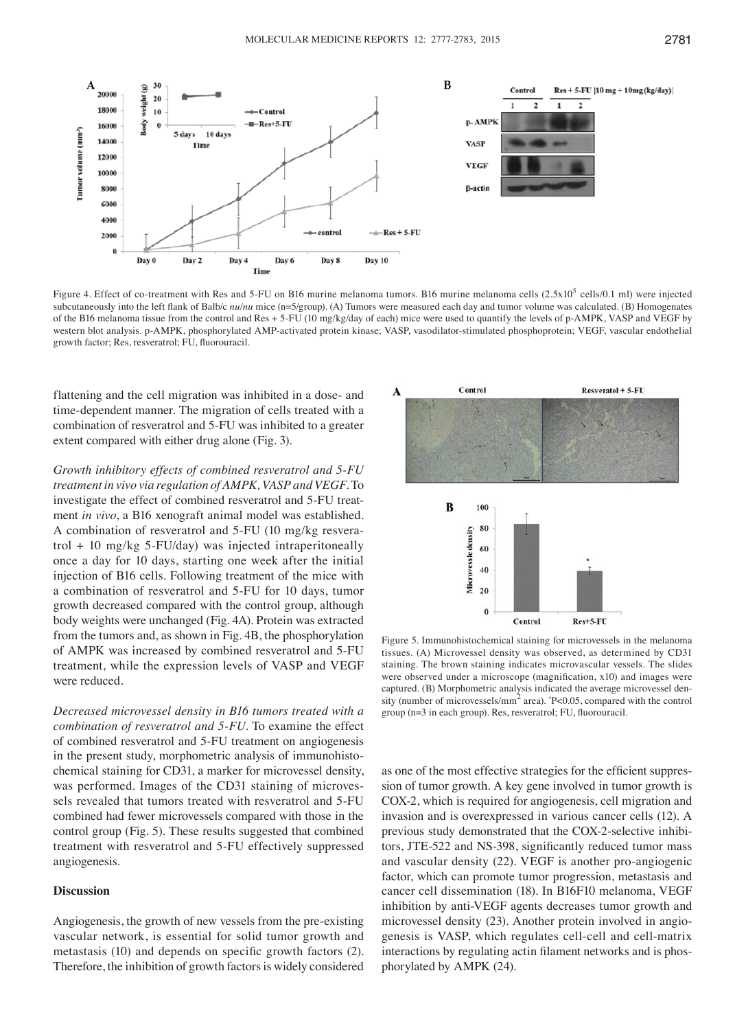

Figure 4. Effect of co-treatment with Res and 5-FU on B16 murine melanoma tumors. B16 murine melanoma cells  $(2.5x10^5 \text{ cells}/0.1 \text{ m})$  were injected subcutaneously into the left flank of Balb/c  $nu/nu$  mice (n=5/group). (A) Tumors were measured each day and tumor volume was calculated. (B) Homogenates of the B16 melanoma tissue from the control and Res + 5‑FU (10 mg/kg/day of each) mice were used to quantify the levels of p‑AMPK, VASP and VEGF by western blot analysis. p-AMPK, phosphorylated AMP-activated protein kinase; VASP, vasodilator-stimulated phosphoprotein; VEGF, vascular endothelial growth factor; Res, resveratrol; FU, fluorouracil.

flattening and the cell migration was inhibited in a dose- and time-dependent manner. The migration of cells treated with a combination of resveratrol and 5-FU was inhibited to a greater extent compared with either drug alone (Fig. 3).

*Growth inhibitory effects of combined resveratrol and 5‑FU treatment in vivo via regulation of AMPK, VASP and VEGF.* To investigate the effect of combined resveratrol and 5-FU treatment *in vivo*, a B16 xenograft animal model was established. A combination of resveratrol and 5-FU (10 mg/kg resveratrol  $+10$  mg/kg 5-FU/day) was injected intraperitoneally once a day for 10 days, starting one week after the initial injection of B16 cells. Following treatment of the mice with a combination of resveratrol and 5-FU for 10 days, tumor growth decreased compared with the control group, although body weights were unchanged (Fig. 4A). Protein was extracted from the tumors and, as shown in Fig. 4B, the phosphorylation of AMPK was increased by combined resveratrol and 5-FU treatment, while the expression levels of VASP and VEGF were reduced.

*Decreased microvessel density in B16 tumors treated with a combination of resveratrol and 5‑FU.* To examine the effect of combined resveratrol and 5-FU treatment on angiogenesis in the present study, morphometric analysis of immunohistochemical staining for CD31, a marker for microvessel density, was performed. Images of the CD31 staining of microvessels revealed that tumors treated with resveratrol and 5-FU combined had fewer microvessels compared with those in the control group (Fig. 5). These results suggested that combined treatment with resveratrol and 5-FU effectively suppressed angiogenesis.

### **Discussion**

Angiogenesis, the growth of new vessels from the pre-existing vascular network, is essential for solid tumor growth and metastasis (10) and depends on specific growth factors (2). Therefore, the inhibition of growth factors is widely considered



Figure 5. Immunohistochemical staining for microvessels in the melanoma tissues. (A) Microvessel density was observed, as determined by CD31 staining. The brown staining indicates microvascular vessels. The slides were observed under a microscope (magnification, x10) and images were captured. (B) Morphometric analysis indicated the average microvessel density (number of microvessels/mm<sup>2</sup> area).  $P<0.05$ , compared with the control group (n=3 in each group). Res, resveratrol; FU, fluorouracil.

as one of the most effective strategies for the efficient suppression of tumor growth. A key gene involved in tumor growth is COX-2, which is required for angiogenesis, cell migration and invasion and is overexpressed in various cancer cells (12). A previous study demonstrated that the COX-2-selective inhibitors, JTE‑522 and NS‑398, significantly reduced tumor mass and vascular density (22). VEGF is another pro-angiogenic factor, which can promote tumor progression, metastasis and cancer cell dissemination (18). In B16F10 melanoma, VEGF inhibition by anti-VEGF agents decreases tumor growth and microvessel density (23). Another protein involved in angiogenesis is VASP, which regulates cell-cell and cell-matrix interactions by regulating actin filament networks and is phosphorylated by AMPK (24).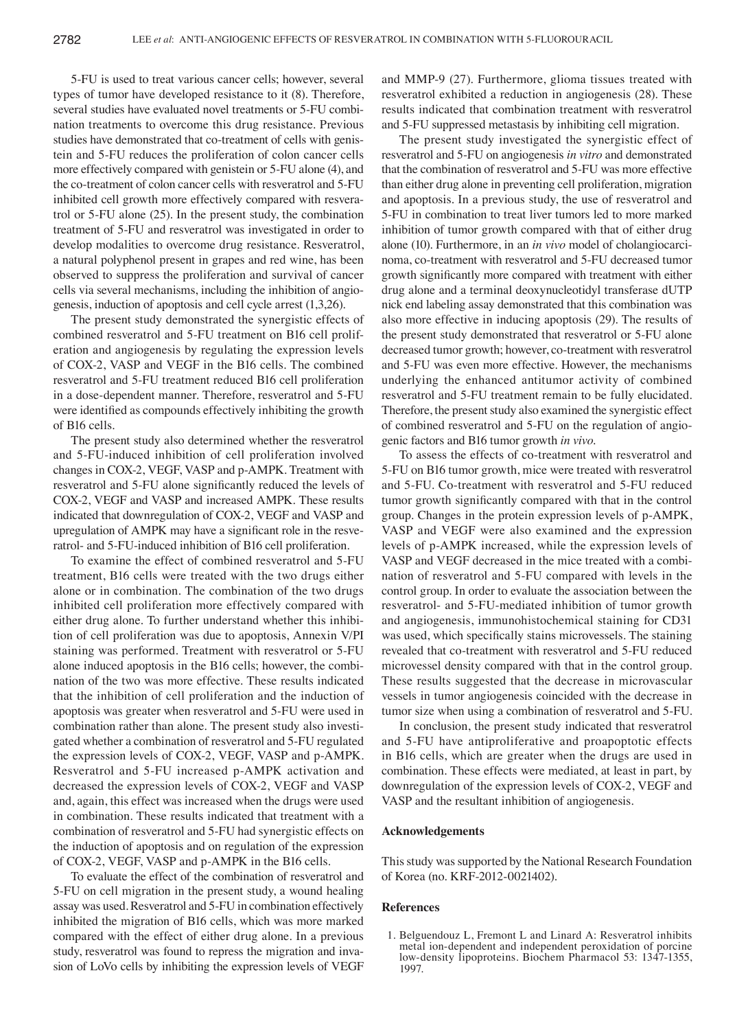5-FU is used to treat various cancer cells; however, several types of tumor have developed resistance to it (8). Therefore, several studies have evaluated novel treatments or 5-FU combination treatments to overcome this drug resistance. Previous studies have demonstrated that co-treatment of cells with genistein and 5-FU reduces the proliferation of colon cancer cells more effectively compared with genistein or 5-FU alone (4), and the co-treatment of colon cancer cells with resveratrol and 5-FU inhibited cell growth more effectively compared with resveratrol or 5-FU alone (25). In the present study, the combination treatment of 5-FU and resveratrol was investigated in order to develop modalities to overcome drug resistance. Resveratrol, a natural polyphenol present in grapes and red wine, has been observed to suppress the proliferation and survival of cancer cells via several mechanisms, including the inhibition of angiogenesis, induction of apoptosis and cell cycle arrest (1,3,26).

The present study demonstrated the synergistic effects of combined resveratrol and 5-FU treatment on B16 cell proliferation and angiogenesis by regulating the expression levels of COX-2, VASP and VEGF in the B16 cells. The combined resveratrol and 5-FU treatment reduced B16 cell proliferation in a dose-dependent manner. Therefore, resveratrol and 5-FU were identified as compounds effectively inhibiting the growth of B16 cells.

The present study also determined whether the resveratrol and 5-FU-induced inhibition of cell proliferation involved changes in COX-2, VEGF, VASP and p-AMPK. Treatment with resveratrol and 5‑FU alone significantly reduced the levels of COX-2, VEGF and VASP and increased AMPK. These results indicated that downregulation of COX-2, VEGF and VASP and upregulation of AMPK may have a significant role in the resveratrol- and 5-FU-induced inhibition of B16 cell proliferation.

To examine the effect of combined resveratrol and 5-FU treatment, B16 cells were treated with the two drugs either alone or in combination. The combination of the two drugs inhibited cell proliferation more effectively compared with either drug alone. To further understand whether this inhibition of cell proliferation was due to apoptosis, Annexin V/PI staining was performed. Treatment with resveratrol or 5-FU alone induced apoptosis in the B16 cells; however, the combination of the two was more effective. These results indicated that the inhibition of cell proliferation and the induction of apoptosis was greater when resveratrol and 5-FU were used in combination rather than alone. The present study also investigated whether a combination of resveratrol and 5-FU regulated the expression levels of COX-2, VEGF, VASP and p-AMPK. Resveratrol and 5-FU increased p-AMPK activation and decreased the expression levels of COX-2, VEGF and VASP and, again, this effect was increased when the drugs were used in combination. These results indicated that treatment with a combination of resveratrol and 5-FU had synergistic effects on the induction of apoptosis and on regulation of the expression of COX-2, VEGF, VASP and p-AMPK in the B16 cells.

To evaluate the effect of the combination of resveratrol and 5-FU on cell migration in the present study, a wound healing assay was used. Resveratrol and 5-FU in combination effectively inhibited the migration of B16 cells, which was more marked compared with the effect of either drug alone. In a previous study, resveratrol was found to repress the migration and invasion of LoVo cells by inhibiting the expression levels of VEGF and MMP-9 (27). Furthermore, glioma tissues treated with resveratrol exhibited a reduction in angiogenesis (28). These results indicated that combination treatment with resveratrol and 5-FU suppressed metastasis by inhibiting cell migration.

The present study investigated the synergistic effect of resveratrol and 5-FU on angiogenesis *in vitro* and demonstrated that the combination of resveratrol and 5-FU was more effective than either drug alone in preventing cell proliferation, migration and apoptosis. In a previous study, the use of resveratrol and 5-FU in combination to treat liver tumors led to more marked inhibition of tumor growth compared with that of either drug alone (10). Furthermore, in an *in vivo* model of cholangiocarcinoma, co-treatment with resveratrol and 5-FU decreased tumor growth significantly more compared with treatment with either drug alone and a terminal deoxynucleotidyl transferase dUTP nick end labeling assay demonstrated that this combination was also more effective in inducing apoptosis (29). The results of the present study demonstrated that resveratrol or 5-FU alone decreased tumor growth; however, co-treatment with resveratrol and 5-FU was even more effective. However, the mechanisms underlying the enhanced antitumor activity of combined resveratrol and 5-FU treatment remain to be fully elucidated. Therefore, the present study also examined the synergistic effect of combined resveratrol and 5-FU on the regulation of angiogenic factors and B16 tumor growth *in vivo*.

To assess the effects of co-treatment with resveratrol and 5-FU on B16 tumor growth, mice were treated with resveratrol and 5-FU. Co-treatment with resveratrol and 5-FU reduced tumor growth significantly compared with that in the control group. Changes in the protein expression levels of p-AMPK, VASP and VEGF were also examined and the expression levels of p-AMPK increased, while the expression levels of VASP and VEGF decreased in the mice treated with a combination of resveratrol and 5-FU compared with levels in the control group. In order to evaluate the association between the resveratrol- and 5-FU-mediated inhibition of tumor growth and angiogenesis, immunohistochemical staining for CD31 was used, which specifically stains microvessels. The staining revealed that co-treatment with resveratrol and 5-FU reduced microvessel density compared with that in the control group. These results suggested that the decrease in microvascular vessels in tumor angiogenesis coincided with the decrease in tumor size when using a combination of resveratrol and 5-FU.

In conclusion, the present study indicated that resveratrol and 5-FU have antiproliferative and proapoptotic effects in B16 cells, which are greater when the drugs are used in combination. These effects were mediated, at least in part, by downregulation of the expression levels of COX-2, VEGF and VASP and the resultant inhibition of angiogenesis.

#### **Acknowledgements**

This study was supported by the National Research Foundation of Korea (no. KRF-2012-0021402).

#### **References**

1. Belguendouz L, Fremont L and Linard A: Resveratrol inhibits metal ion-dependent and independent peroxidation of porcine low-density lipoproteins. Biochem Pharmacol 53: 1347-1355, 1997.